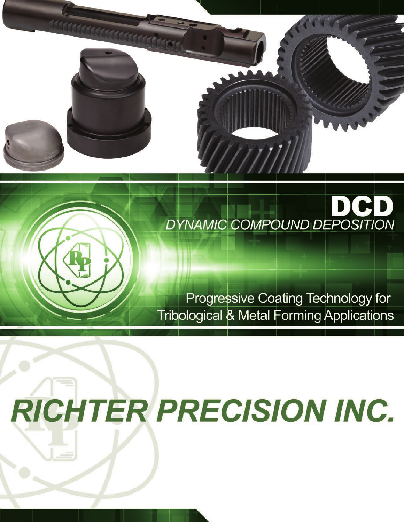

# DI DYNAMIC COMPOUND DEPOSITION

# Progressive Coating Technology for **Tribological & Metal Forming Applications**

# **RICHTER PRECISION INC.**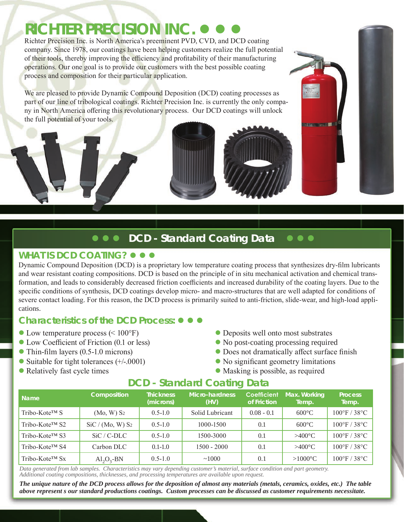# **RICHTER PRECISION INC.**

Richter Precision Inc. is North America's preeminent PVD, CVD, and DCD coating company. Since 1978, our coatings have been helping customers realize the full potential of their tools, thereby improving the efficiency and profitability of their manufacturing operations. Our one goal is to provide our customers with the best possible coating process and composition for their particular application.

We are pleased to provide Dynamic Compound Deposition (DCD) coating processes as part of our line of tribological coatings. Richter Precision Inc. is currently the only company in North America offering this revolutionary process. Our DCD coatings will unlock the full potential of your tools.



## **DCD - Standard Coating Data**

#### **WHAT IS DCD COATING?**  $\bullet$  $\bullet$

Dynamic Compound Deposition (DCD) is a proprietary low temperature coating process that synthesizes dry-film lubricants and wear resistant coating compositions. DCD is based on the principle of in situ mechanical activation and chemical transformation, and leads to considerably decreased friction coefficients and increased durability of the coating layers. Due to the specific conditions of synthesis, DCD coatings develop micro- and macro-structures that are well adapted for conditions of severe contact loading. For this reason, the DCD process is primarily suited to anti-friction, slide-wear, and high-load applications.

## *Characteristics of the DCD Process:*  $\bullet$   $\bullet$

- $\bullet$  Low temperature process (< 100°F)  $\bullet$  Deposits well onto most substrates
- Low Coefficient of Friction (0.1 or less) No post-coating processing required
- 
- Suitable for tight tolerances (+/-.0001) No significant geometry limitations
- 
- 
- 
- Thin-film layers (0.5-1.0 microns) **layers** Does not dramatically affect surface finish
	-
- Relatively fast cycle times **and Solution Contract Contract Contract Contract Contract Contract Contract Contract Contract Contract Contract Contract Contract Contract Contract Contract Contract Contract Contract Contrac**

## **DCD - Standard Coating Data**

| <b>Name</b>       | Composition                       | <b>Thickness</b><br>(microns) | Micro-hardness<br>(HV) | Coefficient<br>of Friction | Max. Working<br>Temp. | <b>Process</b><br>Temp.           |
|-------------------|-----------------------------------|-------------------------------|------------------------|----------------------------|-----------------------|-----------------------------------|
| Tribo-Kote™ S     | $(Mo, W)$ S <sub>2</sub>          | $0.5 - 1.0$                   | Solid Lubricant        | $0.08 - 0.1$               | $600^{\circ}$ C       | $100^{\circ}$ F / 38 $^{\circ}$ C |
| Tribo-Kote™ S2    | SiC / (Mo, W) S <sub>2</sub>      | $0.5 - 1.0$                   | 1000-1500              | 0.1                        | $600^{\circ}$ C       | $100^{\circ}$ F / 38 $^{\circ}$ C |
| Tribo-Kote™ S3    | $SiC/C-DLC$                       | $0.5 - 1.0$                   | 1500-3000              | 0.1                        | $>400^{\circ}$ C      | $100^{\circ}$ F / 38 $^{\circ}$ C |
| Tribo-Kote™ S4    | Carbon DLC                        | $0.1 - 1.0$                   | $1500 - 2000$          | 0.1                        | $>400^{\circ}$ C      | $100^{\circ}$ F / 38 $^{\circ}$ C |
| $Tribo-KoteTM Sx$ | $\text{Al}_2\text{O}_3\text{-BN}$ | $0.5 - 1.0$                   | ~1000                  | 0.1                        | $>1000^{\circ}$ C     | $100^{\circ}$ F / 38 $^{\circ}$ C |

*Data generated from lab samples. Characteristics may vary depending customer's material, surface condition and part geometry. Additional coating compositions, thicknesses, and processing temperatures are available upon request.*

*The unique nature of the DCD process allows for the deposition of almost any materials (metals, ceramics, oxides, etc.) The table above represent s our standard productions coatings. Custom processes can be discussed as customer requirements necessitate.*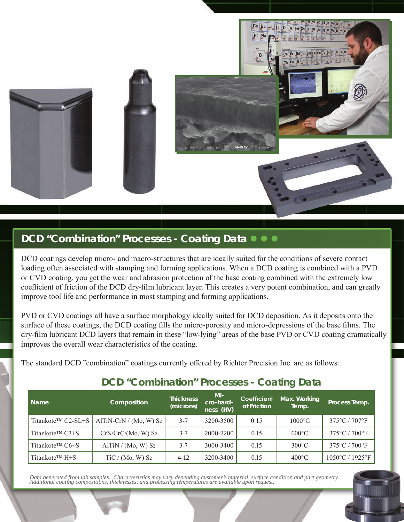

## **DCD** "Combination" Processes - Coating Data

DCD coatings develop micro- and macro-structures that are ideally suited for the conditions of severe contact loading often associated with stamping and forming applications. When a DCD coating is combined with a PVD or CVD coating, you get the wear and abrasion protection of the base coating combined with the extremely low coefficient of friction of the DCD dry-film lubricant layer. This creates a very potent combination, and can greatly improve tool life and performance in most stamping and forming applications.

PVD or CVD coatings all have a surface morphology ideally suited for DCD deposition. As it deposits onto the surface of these coatings, the DCD coating fills the micro-porosity and micro-depressions of the base films. The dry-film lubricant DCD layers that remain in these "low-lying" areas of the base PVD or CVD coating dramatically improves the overall wear characteristics of the coating.

The standard DCD "combination" coatings currently offered by Richter Precision Inc. are as follows:

| Name                             | Composition                         | <b>Thickness</b><br>(microns) | Mi-<br>cro-hard-<br>ness (HV) | Coefficient<br>of Friction | Max. Working<br>Temp. | Process Temp.                        |
|----------------------------------|-------------------------------------|-------------------------------|-------------------------------|----------------------------|-----------------------|--------------------------------------|
| Titankote <sup>TM</sup> C2-SL+S  | AlTiN-CrN $/(Mo, W)$ S <sub>2</sub> | $3 - 7$                       | 3200-3500                     | 0.15                       | $1000^{\circ}$ C      | $375^{\circ}$ C / $707^{\circ}$ F    |
| Titankote™ C3+S                  | $CrN/CrC/(Mo, W)$ S <sub>2</sub>    | $3 - 7$                       | 2000-2200                     | 0.15                       | $600^{\circ}$ C       | 375°C / 700°F                        |
| Titankote <sup>TM</sup> $C6 + S$ | AlTiN / (Mo, W) S <sub>2</sub>      | $3 - 7$                       | 3000-3400                     | 0.15                       | $300^{\circ}$ C       | $375^{\circ}$ C / $700^{\circ}$ F    |
| Titankote <sup>TM</sup> $H + S$  | TiC / (Mo, W) S <sub>2</sub>        | $4 - 12$                      | 3200-3400                     | 0.15                       | $400^{\circ}$ C       | $1050^{\circ}$ C / 1925 $^{\circ}$ F |

## **DCD "Combination" Processes - Coating Data**

Data generated from lab samples. Characteristics may vary depending customer's material, surface condition and part geometry.<br>Additional coating compositions, thicknesses, and processing temperatures are available upon req